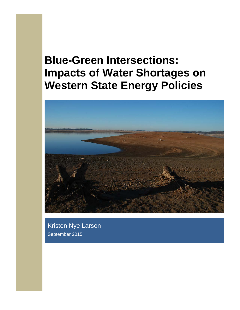# **Blue-Green Intersections: Impacts of Water Shortages on Western State Energy Policies**



Kristen Nye Larson September 2015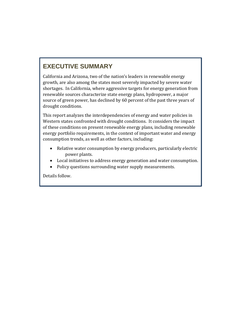## **EXECUTIVE SUMMARY**

California and Arizona, two of the nation's leaders in renewable energy growth, are also among the states most severely impacted by severe water shortages. In California, where aggressive targets for energy generation from renewable sources characterize state energy plans, hydropower, a major source of green power, has declined by 60 percent of the past three years of drought conditions.

This report analyzes the interdependencies of energy and water policies in Western states confronted with drought conditions. It considers the impact of these conditions on present renewable energy plans, including renewable energy portfolio requirements, in the context of important water and energy consumption trends, as well as other factors, including:

- Relative water consumption by energy producers, particularly electric power plants.
- Local initiatives to address energy generation and water consumption.
- Policy questions surrounding water supply measurements.

Details follow.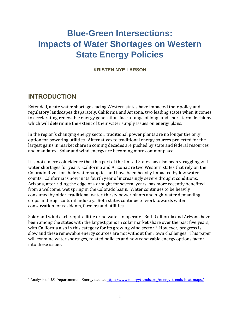## **Blue-Green Intersections: Impacts of Water Shortages on Western State Energy Policies**

**KRISTEN NYE LARSON**

#### **INTRODUCTION**

Extended, acute water shortages facing Western states have impacted their policy and regulatory landscapes disparately. California and Arizona, two leading states when it comes to accelerating renewable energy generation, face a range of long- and short-term decisions which will determine the extent of their water supply issues on energy plans.

In the region's changing energy sector, traditional power plants are no longer the only option for powering utilities. Alternatives to traditional energy sources projected for the largest gains in market share in coming decades are pushed by state and federal resources and mandates. Solar and wind energy are becoming more commonplace.

It is not a mere coincidence that this part of the United States has also been struggling with water shortages for years. California and Arizona are two Western states that rely on the Colorado River for their water supplies and have been heavily impacted by low water counts. California is now in its fourth year of increasingly severe drought conditions. Arizona, after riding the edge of a drought for several years, has more recently benefited from a welcome, wet spring in the Colorado basin. Water continues to be heavily consumed by older, traditional water-thirsty power plants and high-water demanding crops in the agricultural industry. Both states continue to work towards water conservation for residents, farmers and utilities.

Solar and wind each require little or no water to operate. Both California and Arizona have been among the states with the largest gains in solar market share over the past five years, with California also in this category for its growing wind sector.<sup>[1](#page-2-0)</sup> However, progress is slow and these renewable energy sources are not without their own challenges. This paper will examine water shortages, related policies and how renewable energy options factor into these issues.

<span id="page-2-0"></span> <sup>1</sup> Analysis of U.S. Department of Energy data a[t http://www.energytrends.org/energy-trends-heat-maps/](http://www.energytrends.org/energy-trends-heat-maps/)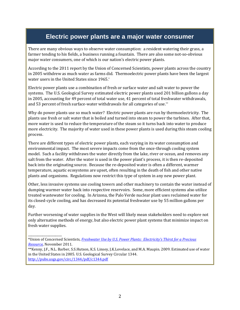#### **Electric power plants are a major water consumer**

There are many obvious ways to observe water consumption: a resident watering their grass, a farmer tending to his fields, a business running a fountain. There are also some not-so-obvious major water consumers, one of which is our nation's electric power plants.

According to the 2011 report by the Union of Concerned Scientists, power plants across the country in 2005 withdrew as much water as farms did. Thermoelectric power plants have been the largest water users in the United States since 1965.\*

Electric power plants use a combination of fresh or surface water and salt water to power the systems. The U.S. Geological Survey estimated electric power plants used 201 billion gallons a day in 2005, accounting for 49 percent of total water use, 41 percent of total freshwater withdrawals, and 53 percent of fresh surface-water withdrawals for all categories of use.\*\*

Why do power plants use so much water? Electric power plants are run by thermoelectricity. The plants use fresh or salt water that is boiled and turned into steam to power the turbines. After that, more water is used to reduce the temperature of the steam so it turns back into water to produce more electricity. The majority of water used in these power plants is used during this steam cooling process.

There are different types of electric power plants, each varying in its water consumption and environmental impact. The most severe impacts come from the once-through cooling system model. Such a facility withdraws the water directly from the lake, river or ocean, and removes any salt from the water. After the water is used in the power plant's process, it is then re-deposited back into the originating source. Because the re-deposited water is often a different, warmer temperature, aquatic ecosystems are upset, often resulting in the death of fish and other native plants and organisms. Regulations now restrict this type of system in any new power plant.

Other, less invasive systems use cooling towers and other machinery to contain the water instead of dumping warmer water back into respective reservoirs. Some, more efficient systems also utilize treated wastewater for cooling. In Arizona, the Palo Verde nuclear plant uses reclaimed water for its closed-cycle cooling, and has decreased its potential freshwater use by 55 million gallons per day.

Further worsening of water supplies in the West will likely mean stakeholders need to explore not only alternative methods of energy, but also electric power plant systems that minimize impact on fresh water supplies.

\_\_\_\_\_\_\_\_\_\_\_\_\_\_\_\_\_\_\_\_\_ \*Union of Concerned Scientists, *[Freshwater Use by U.S. Power Plants: Electricity's Thirst for a Precious](http://www.ucsusa.org/sites/default/files/attach/2014/08/ew3-freshwater-use-by-us-power-plants.pdf)  [Resource,](http://www.ucsusa.org/sites/default/files/attach/2014/08/ew3-freshwater-use-by-us-power-plants.pdf)* November 2011.

<sup>\*\*</sup>Kenny, J.F., N.L. Barber, S.S.Hutson, K.S. Linsey, J.K.Lovelace, and M.A. Maupin. 2009. Estimated use of water in the United States in 2005. U.S. Geological Survey Circular 1344. <http://pubs.usgs.gov/circ/1344/pdf/c1344.pdf>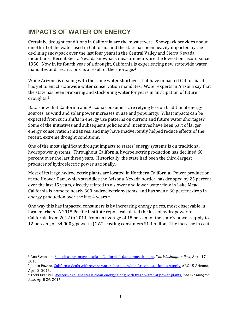### **IMPACTS OF WATER ON ENERGY**

Certainly, drought conditions in California are the most severe. Snowpack provides about one-third of the water used in California and the state has been heavily impacted by the declining snowpack over the last four years in the Central Valley and Sierra Nevada mountains. Recent Sierra Nevada snowpack measurements are the lowest on record since 1950. Now in its fourth year of a drought, California is experiencing new statewide water mandates and restrictions as a result of the shortage.<sup>[2](#page-4-0)</sup>

While Arizona is dealing with the same water shortages that have impacted California, it has yet to enact statewide water conservation mandates. Water experts in Arizona say that the state has been preparing and stockpiling water for years in anticipation of future droughts.[3](#page-4-1) 

Data show that California and Arizona consumers are relying less on traditional energy sources, as wind and solar power increases in use and popularity. What impacts can be expected from such shifts in energy use patterns on current and future water shortages? Some of the initiatives and subsequent policies and incentives have been part of larger energy conservation initiatives, and may have inadvertently helped reduce effects of the recent, extreme drought conditions.

One of the most significant drought impacts to states' energy systems is on traditional hydropower systems. Throughout California, hydroelectric production has declined 60 percent over the last three years. Historically, the state had been the third-largest producer of hydroelectric power nationally.

Most of its large hydroelectric plants are located in Northern California. Power production at the Hoover Dam, which straddles the Arizona-Nevada border, has dropped by 25 percent over the last 15 years, directly related to a slower and lower water flow in Lake Mead. California is home to nearly 300 hydroelectric systems, and has seen a 60 percent drop in energy production over the last 4 years.[4](#page-4-2)

One way this has impacted consumers is by increasing energy prices, most observable in local markets. A 2015 Pacific Institute report calculated the loss of hydropower in California from 2012 to 2014, from an average of 18 percent of the state's power supply to 12 percent, or 34,000 gigawatts (GW), costing consumers \$1.4 billion. The increase in cost

<span id="page-4-0"></span> <sup>2</sup> Ana Swanson[, 8 fascinating images explain California's dangerous drought,](http://www.washingtonpost.com/news/wonkblog/wp/2015/04/17/8-fascinating-images-explain-californias-dangerous-drought/) *The Washington Post*, April 17, 2015.

<span id="page-4-1"></span><sup>3</sup> Justin Pazera, [California deals with severe water shortage while Arizona stockpiles supply,](http://www.abc15.com/news/state/california-deals-with-severe-water-shortage-while-arizona-stockpiles-supply) ABC 15 Arizona, April 3, 2015.

<span id="page-4-2"></span><sup>4</sup> Todd Frankel[, Western drought steals clean energy along with fresh water at power plants,](http://www.washingtonpost.com/national/at-hoover-dam-the-drought-is-stealing-clean-energy-along-with-fresh-water/2015/04/26/8ce2740a-e93d-11e4-9767-6276fc9b0ada_story.html) *The Washington Post*, April 26, 2015.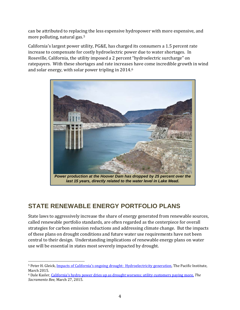can be attributed to replacing the less expensive hydropower with more expensive, and more polluting, natural gas.[5](#page-5-0)

California's largest power utility, PG&E, has charged its consumers a 1.5 percent rate increase to compensate for costly hydroelectric power due to water shortages. In Roseville, California, the utility imposed a 2 percent "hydroelectric surcharge" on ratepayers. With these shortages and rate increases have come incredible growth in wind and solar energy, with solar power tripling in 2014.[6](#page-5-1)



## **STATE RENEWABLE ENERGY PORTFOLIO PLANS**

State laws to aggressively increase the share of energy generated from renewable sources, called renewable portfolio standards, are often regarded as the centerpiece for overall strategies for carbon emission reductions and addressing climate change. But the impacts of these plans on drought conditions and future water use requirements have not been central to their design. Understanding implications of renewable energy plans on water use will be essential in states most severely impacted by drought.

<span id="page-5-1"></span><sup>6</sup> Dale Kasler[, California's hydro power dries up as drought worsens; utility customers paying more,](http://www.sacbee.com/news/local/environment/article16494344.html) *The Sacramento Bee*, March 27, 2015.

<span id="page-5-0"></span> <sup>5</sup> Peter H. Gleick[, Impacts of California's ongoing drought: Hydroelectricity generation,](http://pacinst.org/wp-content/uploads/sites/21/2015/03/California-Drought-and-Energy-Final1.pdf) The Pacific Institute, March 2015.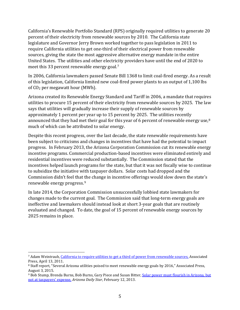California's Renewable Portfolio Standard (RPS) originally required utilities to generate 20 percent of their electricity from renewable sources by 2010. The California state legislature and Governor Jerry Brown worked together to pass legislation in 2011 to require California utilities to get one-third of their electrical power from renewable sources, giving the state the most aggressive alternative energy mandate in the entire United States. The utilities and other electricity providers have until the end of 2020 to meet this 33 percent renewable energy goal.<sup>[7](#page-6-0)</sup>

In 2006, California lawmakers passed Senate Bill 1368 to limit coal-fired energy. As a result of this legislation, California limited new coal-fired power plants to an output of 1,100 lbs of CO2 per megawatt hour (MWh).

Arizona created its Renewable Energy Standard and Tariff in 2006, a mandate that requires utilities to procure 15 percent of their electricity from renewable sources by 2025. The law says that utilities will gradually increase their supply of renewable sources by approximately 1 percent per year up to 15 percent by 2025. The utilities recently announced that they had met their goal for this year of 6 percent of renewable energy use,<sup>[8](#page-6-1)</sup> much of which can be attributed to solar energy.

Despite this recent progress, over the last decade, the state renewable requirements have been subject to criticisms and changes in incentives that have had the potential to impact progress. In February 2013, the Arizona Corporation Commission cut its renewable energy incentive programs. Commercial production-based incentives were eliminated entirely and residential incentives were reduced substantially. The Commission stated that the incentives helped launch programs for the state, but that it was not fiscally wise to continue to subsidize the initiative with taxpayer dollars. Solar costs had dropped and the Commission didn't feel that the change in incentive offerings would slow down the state's renewable energy progress.[9](#page-6-2)

In late 2014, the Corporation Commission unsuccessfully lobbied state lawmakers for changes made to the current goal. The Commission said that long-term energy goals are ineffective and lawmakers should instead look at short 3-year goals that are routinely evaluated and changed. To date, the goal of 15 percent of renewable energy sources by 2025 remains in place.

<span id="page-6-0"></span> <sup>7</sup> Adam Weintraub, [California to require utilities to get a third of power from renewable sources,](http://www.cleveland.com/nation/index.ssf/2011/04/california_to_require_utilitie.html) Associated Press, April 13, 2011.

<span id="page-6-1"></span><sup>8</sup> Staff report, "Several Arizona utilities poised to meet renewable energy goals by 2016," Associated Press, August 3, 2015.

<span id="page-6-2"></span><sup>9</sup> Bob Stump, Brenda Burns, Bob Burns, Gary Piece and Susan Bitter, [Solar power must flourish in Arizona, but](http://tucson.com/news/opinion/guest-column-solar-power-must-flourish-in-arizona-but-not/article_e1ffe521-2e0a-51ce-94a9-4d4939f81079.html)  [not at taxpayers' expense,](http://tucson.com/news/opinion/guest-column-solar-power-must-flourish-in-arizona-but-not/article_e1ffe521-2e0a-51ce-94a9-4d4939f81079.html) *Arizona Daily Star*, February 12, 2013.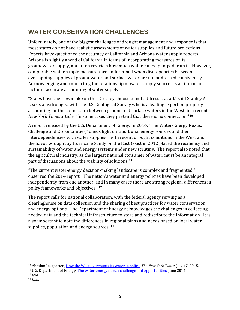## **WATER CONSERVATION CHALLENGES**

Unfortunately, one of the biggest challenges of drought management and response is that most states do not have realistic assessments of water supplies and future projections. Experts have questioned the accuracy of California and Arizona water supply reports. Arizona is slightly ahead of California in terms of incorporating measures of its groundwater supply, and often restricts how much water can be pumped from it. However, comparable water supply measures are undermined when discrepancies between overlapping supplies of groundwater and surface water are not addressed consistently. Acknowledging and connecting the relationship of water supply sources is an important factor in accurate accounting of water supply.

"States have their own take on this. Or they choose to not address it at all," said Stanley A. Leake, a hydrologist with the U.S. Geological Survey who is a leading expert on properly accounting for the connection between ground and surface waters in the West, in a recent *New York Times* article. "In some cases they pretend that there is no connection."[10](#page-7-0)

A report released by the U.S. Department of Energy in 2014, "The Water-Energy Nexus: Challenge and Opportunities," sheds light on traditional energy sources and their interdependencies with water supplies. Both recent drought conditions in the West and the havoc wrought by Hurricane Sandy on the East Coast in 2012 placed the resiliency and sustainability of water and energy systems under new scrutiny. The report also noted that the agricultural industry, as the largest national consumer of water, must be an integral part of discussions about the viability of solutions.<sup>[11](#page-7-1)</sup>

"The current water-energy decision-making landscape is complex and fragmented," observed the 2014 report. "The nation's water and energy policies have been developed independently from one another, and in many cases there are strong regional differences in policy frameworks and objectives."[12](#page-7-2)

The report calls for national collaboration, with the federal agency serving as a clearinghouse on data collection and the sharing of best practices for water conservation and energy options. The Department of Energy acknowledges the challenges in collecting needed data and the technical infrastructure to store and redistribute the information. It is also important to note the differences in regional plans and needs based on local water supplies, population and energy sources.<sup>[13](#page-7-3)</sup>

<span id="page-7-0"></span> <sup>10</sup> Abrahm Lustgarten, How the West [overcounts its water supplies,](http://www.nytimes.com/2015/07/19/opinion/sunday/how-the-west-overcounts-its-water-supplies.html?action=click&pgtype=Homepage&module=opinion-c-col-left-region®ion=opinion-c-col-left-region&WT.nav=opinion-c-col-left-region&_r=2) *The New York Times*, July 17, 2015.

<span id="page-7-1"></span><sup>&</sup>lt;sup>11</sup> U.S. Department of Energy, [The water-energy nexus: challenge and opportunities,](http://www.energy.gov/sites/prod/files/2014/07/f17/Water%20Energy%20Nexus%20Executive%20Summary%20July%202014.pdf) June 2014.

<span id="page-7-2"></span><sup>12</sup> *Ibid.*

<span id="page-7-3"></span><sup>13</sup> *Ibid.*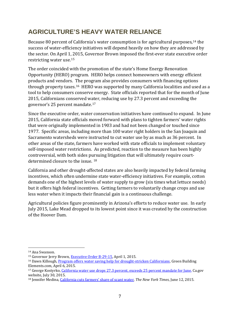## **AGRICULTURE'S HEAVY WATER RELIANCE**

Because 80 percent of California's water consumption is for agricultural purposes,[14](#page-8-0) the success of water-efficiency initiatives will depend heavily on how they are addressed by the sector. On April 1, 2015, Governor Brown imposed the first-ever state executive order restricting water use.[15](#page-8-1)

The order coincided with the promotion of the state's Home Energy Renovation Opportunity (HERO) program. HERO helps connect homeowners with energy efficient products and vendors. The program also provides consumers with financing options through property taxes.[16](#page-8-2) HERO was supported by many California localities and used as a tool to help consumers conserve energy. State officials reported that for the month of June 2015, Californians conserved water, reducing use by 27.3 percent and exceeding the governor's 25 percent mandate.[17](#page-8-3)

Since the executive order, water conservation initiatives have continued to expand. In June 2015, California state officials moved forward with plans to tighten farmers' water rights that were originally implemented in 1903 and had not been changed or touched since 1977. Specific areas, including more than 100 water right holders in the San Joaquin and Sacramento watersheds were instructed to cut water use by as much as 36 percent. In other areas of the state, farmers have worked with state officials to implement voluntary self-imposed water restrictions. As predicted, reaction to the measure has been highly controversial, with both sides pursuing litigation that will ultimately require courtdetermined closure to the issue. [18](#page-8-4)

California and other drought-affected states are also heavily impacted by federal farming incentives, which often undermine state water-efficiency initiatives. For example, cotton demands one of the highest levels of water supply to grow (six times what lettuce needs) but it offers high federal incentives. Getting farmers to voluntarily change crops and use less water when it impacts their financial gain is a continuous challenge.

Agricultural policies figure prominently in Arizona's efforts to reduce water use. In early July 2015, Lake Mead dropped to its lowest point since it was created by the construction of the Hoover Dam.

<span id="page-8-0"></span> <sup>14</sup> Ana Swanson.

<span id="page-8-1"></span><sup>&</sup>lt;sup>15</sup> Governor Jerry Brown[, Executive Order B-29-15,](http://gov.ca.gov/docs/4.1.15_Executive_Order.pdf) April 1, 2015.

<span id="page-8-2"></span><sup>&</sup>lt;sup>16</sup> Dawn Killough[, Program offers water saving help for drought-stricken Californians,](http://greenbuildingelements.com/2015/04/06/program-offers-water-saving-help-for-drought-stricken-californians/) Green Building Elements.com, April 6, 2015.

<span id="page-8-3"></span><sup>&</sup>lt;sup>17</sup> George Kostyrko, [California water use drops 27.3 percent, exceeds 25 percent mandate for June,](http://ca.gov/drought/topstory/top-story-43.html) Ca.gov website, July 30, 2015.

<span id="page-8-4"></span><sup>18</sup> Jennifer Medina[, California cuts farmers' share of scant water,](http://www.nytimes.com/2015/06/13/us/california-announces-restrictions-on-water-use-by-farmers.html?_r=0) *The New York Times*, June 12, 2015.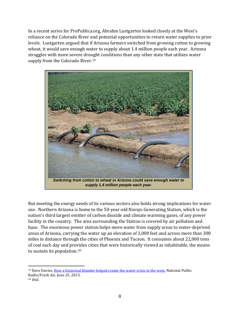In a recent series for ProPublica.org, Abrahm Lustgarten looked closely at the West's reliance on the Colorado River and potential opportunities to return water supplies to prior levels. Lustgarten argued that if Arizona farmers switched from growing cotton to growing wheat, it would save enough water to supply about 1.4 million people each year. Arizona struggles with more severe drought conditions than any other state that utilizes water supply from the Colorado River.<sup>19</sup>



But meeting the energy needs of its various sectors also holds strong implications for water use. Northern Arizona is home to the 50-year-old Navajo Generating Station, which is the nation's third largest emitter of carbon dioxide and climate warming gases, of any power facility in the country. The area surrounding the Station is covered by air pollution and haze. The enormous power station helps move water from supply areas to water-deprived areas of Arizona, carrying the water up an elevation of 3,000 feet and across more than 300 miles in distance through the cities of Phoenix and Tucson. It consumes about 22,000 tons of coal each day and provides cities that were historically viewed as inhabitable, the means to sustain its population.[20](#page-9-1) 

<span id="page-9-1"></span><span id="page-9-0"></span><sup>&</sup>lt;sup>19</sup> Dave Davies, How a historical blunder helped create the water crisis in the west. National Public Radio/Fresh Air, June 25, 2015. <sup>20</sup> *Ibid.*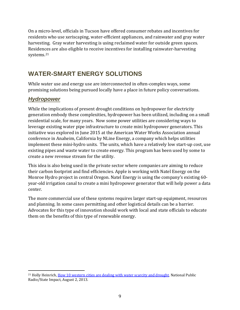On a micro-level, officials in Tucson have offered consumer rebates and incentives for residents who use xeriscaping, water-efficient appliances, and rainwater and gray water harvesting. Gray water harvesting is using reclaimed water for outside green spaces. Residences are also eligible to receive incentives for installing rainwater-harvesting systems.[21](#page-10-0)

## **WATER-SMART ENERGY SOLUTIONS**

While water use and energy use are interconnected in often-complex ways, some promising solutions being pursued locally have a place in future policy conversations.

#### *Hydropower*

While the implications of present drought conditions on hydropower for electricity generation embody these complexities, hydropower has been utilized, including on a small residential scale, for many years. Now some power utilities are considering ways to leverage existing water pipe infrastructure to create mini hydropower generators. This initiative was explored in June 2015 at the American Water Works Association annual conference in Anaheim, California by NLine Energy, a company which helps utilities implement these mini-hydro units. The units, which have a relatively low start-up cost, use existing pipes and waste water to create energy. This program has been used by some to create a new revenue stream for the utility.

This idea is also being used in the private sector where companies are aiming to reduce their carbon footprint and find efficiencies. Apple is working with Natel Energy on the Monroe Hydro project in central Oregon. Natel Energy is using the company's existing 60 year-old irrigation canal to create a mini hydropower generator that will help power a data center.

The more commercial use of these systems requires larger start-up equipment, resources and planning. In some cases permitting and other logistical details can be a barrier. Advocates for this type of innovation should work with local and state officials to educate them on the benefits of this type of renewable energy.

<span id="page-10-0"></span><sup>&</sup>lt;sup>21</sup> Holly Heinrich[, How 10 western cities are dealing with water scarcity and drought,](https://stateimpact.npr.org/texas/2013/08/02/how-10-western-cities-are-dealing-with-water-scarcity-and-drought/) National Public Radio/State Impact, August 2, 2013.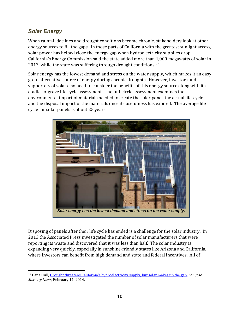#### *Solar Energy*

When rainfall declines and drought conditions become chronic, stakeholders look at other energy sources to fill the gaps. In those parts of California with the greatest sunlight access, solar power has helped close the energy gap when hydroelectricity supplies drop. California's Energy Commission said the state added more than 1,000 megawatts of solar in 2013, while the state was suffering through drought conditions.<sup>[22](#page-11-0)</sup>

Solar energy has the lowest demand and stress on the water supply, which makes it an easy go-to alternative source of energy during chronic droughts. However, investors and supporters of solar also need to consider the benefits of this energy source along with its cradle-to-grave life cycle assessment. The full-circle assessment examines the environmental impact of materials needed to create the solar panel, the actual life-cycle and the disposal impact of the materials once its usefulness has expired. The average life cycle for solar panels is about 25 years.



Disposing of panels after their life cycle has ended is a challenge for the solar industry. In 2013 the Associated Press investigated the number of solar manufacturers that were reporting its waste and discovered that it was less than half. The solar industry is expanding very quickly, especially in sunshine-friendly states like Arizona and California, where investors can benefit from high demand and state and federal incentives. All of

<span id="page-11-0"></span> <sup>22</sup> Dana Hull, Drought threatens California['s hydroelectricity supply, but solar makes up the gap,](http://www.mercurynews.com/business/ci_25114964/drought-threatens-californias-hydroelectricity-supply-but-solar-makes) *San Jose Mercury News*, February 11, 2014.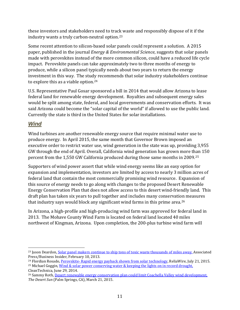these investors and stakeholders need to track waste and responsibly dispose of it if the industry wants a truly carbon-neutral option.[23](#page-12-0)

Some recent attention to silicon-based solar panels could represent a solution. A 2015 paper, published in the journal *Energy & Environmental Science*, suggests that solar panels made with perovskites instead of the more common silicon, could have a reduced life cycle impact. Perovskite panels can take approximately two to three months of energy to produce, while a silicon panel typically needs about two years to return the energy investment in this way. The study recommends that solar industry stakeholders continue to explore this as a viable option[.24](#page-12-1)

U.S. Representative Paul Gosar sponsored a bill in 2014 that would allow Arizona to lease federal land for renewable energy development. Royalties and subsequent energy sales would be split among state, federal, and local governments and conservation efforts. It was said Arizona could become the "solar capital of the world" if allowed to use the public land. Currently the state is third in the United States for solar installations.

#### *Wind*

Wind turbines are another renewable energy source that require minimal water use to produce energy. In April 2015, the same month that Governor Brown imposed an executive order to restrict water use, wind generation in the state was up, providing 3,955 GW through the end of April. Overall, California wind generation has grown more than 150 percent from the 1,550 GW California produced during those same months in 2009.[25](#page-12-2) 

Supporters of wind power assert that while wind energy seems like an easy option for expansion and implementation, investors are limited by access to nearly 3 million acres of federal land that contain the most commercially promising wind resource. Expansion of this source of energy needs to go along with changes to the proposed Desert Renewable Energy Conservation Plan that does not allow access to this desert wind-friendly land. This draft plan has taken six years to pull together and includes many conservation measures that industry says would block any significant wind farms in this prime area.[26](#page-12-3)

In Arizona, a high-profile and high-producing wind farm was approved for federal land in 2013. The Mohave County Wind Farm is located on federal land located 40 miles northwest of Kingman, Arizona. Upon completion, the 200-plus turbine wind farm will

<span id="page-12-0"></span> <sup>23</sup> Jason Deardon, [Solar panel makers continue to ship tons of toxic waste thousands of miles away,](http://www.businessinsider.com/solar-panel-makers-grappling-with-waste-2013-2%23ixzz3iET7oGam) Associated Press/Business Insider, February 10, 2013.

<span id="page-12-1"></span><sup>&</sup>lt;sup>24</sup> Flordian Rosado, Perovskite- [Rapid energy payback shown from solar technology,](http://reliawire.com/2015/07/perovskite-rapid-energy-payback-shown-from-solar-technology/) ReliaWire, July 21, 2015.

<span id="page-12-2"></span><sup>&</sup>lt;sup>25</sup> Michael Goggin, Wind & solar power conserving water  $\&$  keeping the lights on in record drought, CleanTechnica, June 29, 2014.

<span id="page-12-3"></span><sup>26</sup> Sammy Roth, [Desert renewable energy conservation plan could limit Coachella Valley wind development,](http://www.desertsun.com/story/tech/science/energy/2015/03/20/desert-energy-plan-limit-valley-wind-development/25112821/) *The Desert Sun* (Palm Springs, CA), March 21, 2015.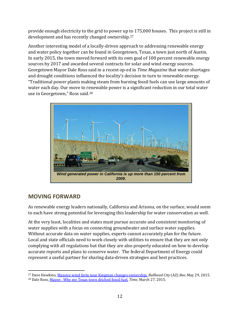provide enough electricity to the grid to power up to 175,000 houses. This project is still in development and has recently changed ownership.[27](#page-13-0)

Another interesting model of a locally-driven approach to addressing renewable energy and water policy together can be found in Georgetown, Texas, a town just north of Austin. In early 2015, the town moved forward with its own goal of 100 percent renewable energy sources by 2017 and awarded several contracts for solar and wind energy sources. Georgetown Mayor Dale Ross said in a recent op-ed in *Time Magazine* that water shortages and drought conditions influenced the locality's decision to turn to renewable energy. "Traditional power plants making steam from burning fossil fuels can use large amounts of water each day. Our move to renewable power is a significant reduction in our total water use in Georgetown," Ross said.[28](#page-13-1)



#### **MOVING FORWARD**

As renewable energy leaders nationally, California and Arizona, on the surface, would seem to each have strong potential for leveraging this leadership for water conservation as well.

At the very least, localities and states must pursue accurate and consistent monitoring of water supplies with a focus on connecting groundwater and surface water supplies. Without accurate data on water supplies, experts cannot accurately plan for the future. Local and state officials need to work closely with utilities to ensure that they are not only complying with all regulations but that they are also properly educated on how to develop accurate reports and plans to conserve water. The federal Department of Energy could represent a useful partner for sharing data-driven strategies and best practices.

<span id="page-13-1"></span><span id="page-13-0"></span> <sup>27</sup> Dave Hawkins[, Massive wind farm near Kingman changes ownership,](http://bullheadcitybee.us/news-stories-archived/massive-wind-farm-near-kingman-changes-ownership/) *Bullhead City* (AZ) *Bee*, May 29, 2015. <sup>28</sup> Dale Ross, [Mayor: Why my Texas town ditched fossil fuel,](http://time.com/3761952/georgetown-texas-fossil-fuel-renewable-energy/) *Time*, March 27, 2015.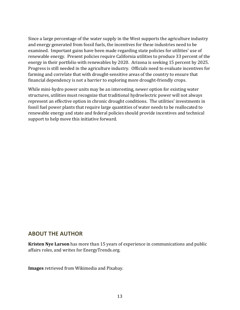Since a large percentage of the water supply in the West supports the agriculture industry and energy generated from fossil fuels, the incentives for these industries need to be examined. Important gains have been made regarding state policies for utilities' use of renewable energy. Present policies require California utilities to produce 33 percent of the energy in their portfolio with renewables by 2020. Arizona is seeking 15 percent by 2025. Progress is still needed in the agriculture industry. Officials need to evaluate incentives for farming and correlate that with drought-sensitive areas of the country to ensure that financial dependency is not a barrier to exploring more drought-friendly crops.

While mini-hydro power units may be an interesting, newer option for existing water structures, utilities must recognize that traditional hydroelectric power will not always represent an effective option in chronic drought conditions. The utilities' investments in fossil fuel power plants that require large quantities of water needs to be reallocated to renewable energy and state and federal policies should provide incentives and technical support to help move this initiative forward.

#### **ABOUT THE AUTHOR**

**Kristen Nye Larson** has more than 15 years of experience in communications and public affairs roles, and writes for EnergyTrends.org.

**Images** retrieved from Wikimedia and Pixabay.